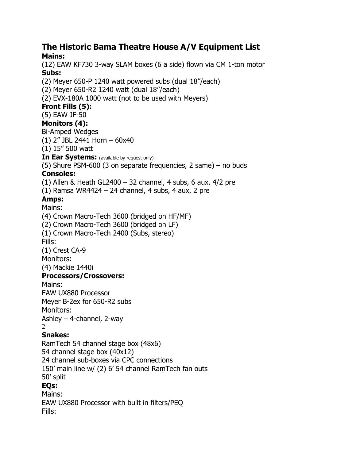#### **The Historic Bama Theatre House A/V Equipment List Mains:**

(12) EAW KF730 3-way SLAM boxes (6 a side) flown via CM 1-ton motor **Subs:**

(2) Meyer 650-P 1240 watt powered subs (dual 18"/each)

(2) Meyer 650-R2 1240 watt (dual 18"/each)

(2) EVX-180A 1000 watt (not to be used with Meyers)

# **Front Fills (5):**

(5) EAW JF-50

## **Monitors (4):**

Bi-Amped Wedges

(1) 2" JBL 2441 Horn – 60x40

(1) 15" 500 watt

**In Ear Systems:** (available by request only)

(5) Shure PSM-600 (3 on separate frequencies, 2 same) – no buds

## **Consoles:**

(1) Allen & Heath GL2400 – 32 channel, 4 subs, 6 aux,  $4/2$  pre

 $(1)$  Ramsa WR4424 – 24 channel, 4 subs, 4 aux, 2 pre

# **Amps:**

## Mains:

(4) Crown Macro-Tech 3600 (bridged on HF/MF)

(2) Crown Macro-Tech 3600 (bridged on LF)

(1) Crown Macro-Tech 2400 (Subs, stereo)

Fills:

(1) Crest CA-9

Monitors:

(4) Mackie 1440i

## **Processors/Crossovers:**

Mains:

EAW UX880 Processor

Meyer B-2ex for 650-R2 subs

Monitors:

Ashley – 4-channel, 2-way

#### $\mathcal{L}$ **Snakes:**

RamTech 54 channel stage box (48x6) 54 channel stage box (40x12) 24 channel sub-boxes via CPC connections 150' main line w/ (2) 6' 54 channel RamTech fan outs 50' split

# **EQs:**

Mains: EAW UX880 Processor with built in filters/PEQ Fills: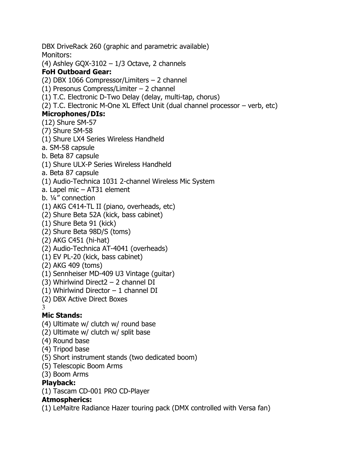DBX DriveRack 260 (graphic and parametric available) Monitors:

(4) Ashley GQX-3102 –  $1/3$  Octave, 2 channels

# **FoH Outboard Gear:**

(2) DBX 1066 Compressor/Limiters – 2 channel

- (1) Presonus Compress/Limiter 2 channel
- (1) T.C. Electronic D-Two Delay (delay, multi-tap, chorus)
- (2) T.C. Electronic M-One XL Effect Unit (dual channel processor verb, etc)

# **Microphones/DIs:**

- (12) Shure SM-57
- (7) Shure SM-58
- (1) Shure LX4 Series Wireless Handheld
- a. SM-58 capsule
- b. Beta 87 capsule
- (1) Shure ULX-P Series Wireless Handheld
- a. Beta 87 capsule
- (1) Audio-Technica 1031 2-channel Wireless Mic System
- a. Lapel mic AT31 element
- b. ¼" connection
- (1) AKG C414-TL II (piano, overheads, etc)
- (2) Shure Beta 52A (kick, bass cabinet)
- (1) Shure Beta 91 (kick)
- (2) Shure Beta 98D/S (toms)
- (2) AKG C451 (hi-hat)
- (2) Audio-Technica AT-4041 (overheads)
- (1) EV PL-20 (kick, bass cabinet)
- (2) AKG 409 (toms)
- (1) Sennheiser MD-409 U3 Vintage (guitar)
- (3) Whirlwind Direct2 2 channel DI
- (1) Whirlwind Director  $-1$  channel DI
- (2) DBX Active Direct Boxes

#### 3 **Mic Stands:**

- (4) Ultimate w/ clutch w/ round base
- (2) Ultimate w/ clutch w/ split base
- (4) Round base
- (4) Tripod base
- (5) Short instrument stands (two dedicated boom)
- (5) Telescopic Boom Arms
- (3) Boom Arms

# **Playback:**

(1) Tascam CD-001 PRO CD-Player

# **Atmospherics:**

(1) LeMaitre Radiance Hazer touring pack (DMX controlled with Versa fan)